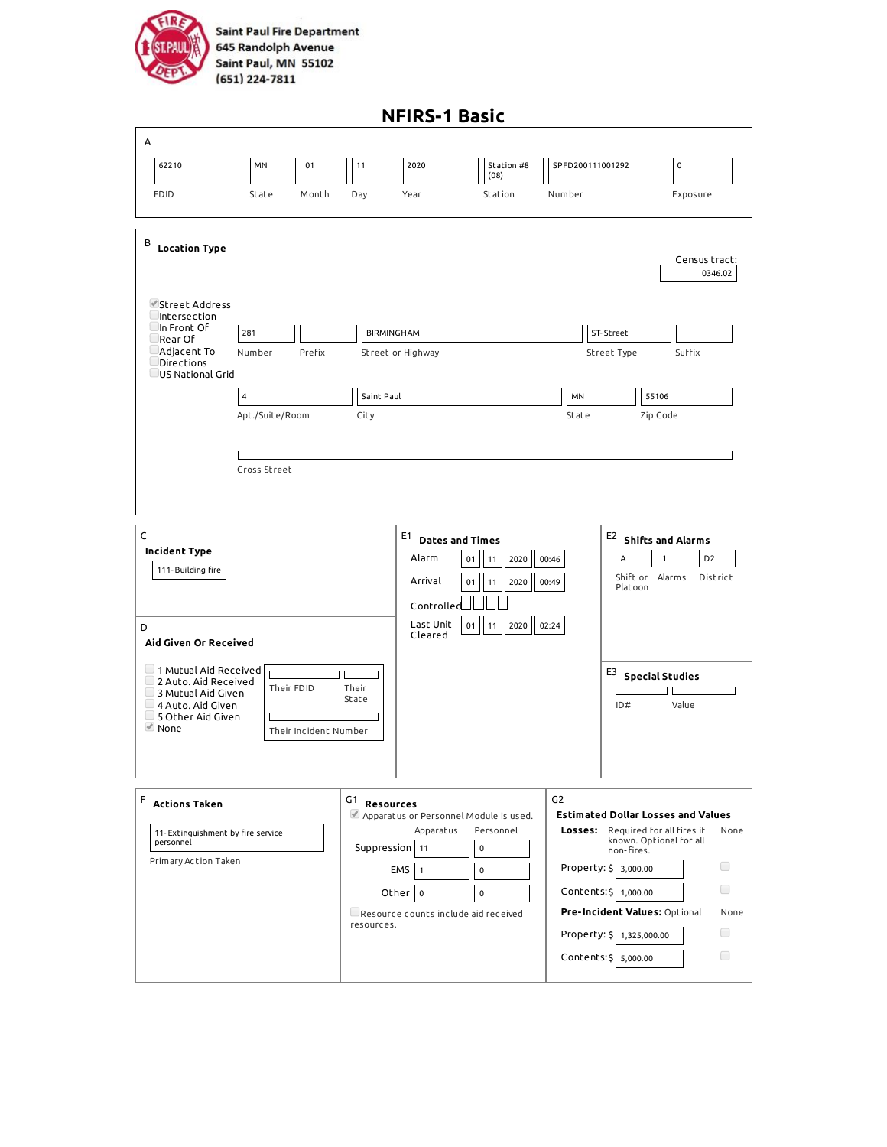

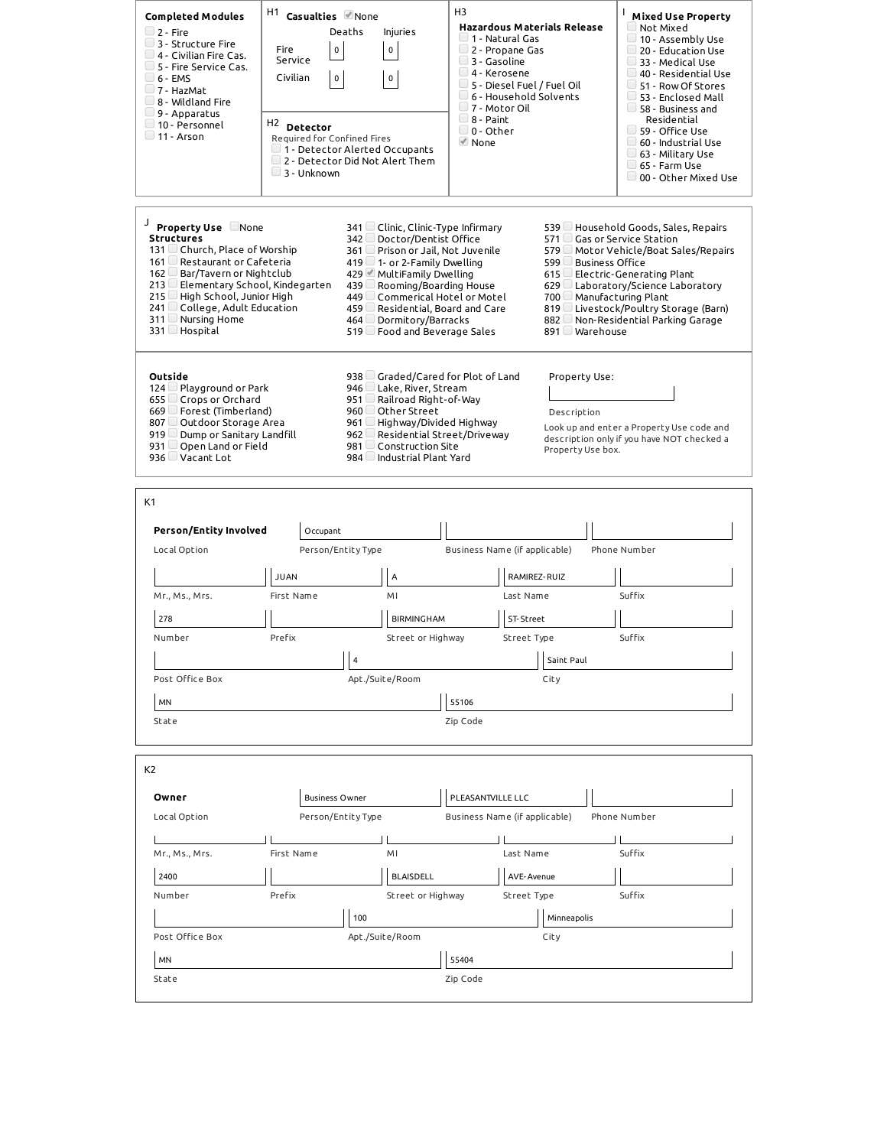| $\Box$ 2 - Fire<br>$\Box$ 3 - Structure Fire<br>$\Box$ 4 - Civilian Fire Cas.<br>5 - Fire Service Cas.<br>$\Box$ 6 - EMS<br>$\Box$ 7 - HazMat<br>$\Box$ 8 - Wildland Fire<br>$\Box$ 9 - Apparatus<br>$\Box$ 10 - Personnel<br>$\Box$ 11 - Arson                                           | Fire<br>Service<br>Civilian | H1<br>Casualties Mone<br>Deaths<br><b>Injuries</b><br>$\mathsf{o}\,$<br>$\pmb{0}$<br>$\mathbf 0$<br>$\mathbf 0$<br>H <sub>2</sub> Detector<br>Required for Confined Fires                                                                                                                                |                               | <b>Hazardous Materials Release</b><br>$\Box$ 1 - Natural Gas<br>2 - Propane Gas<br>$-4$ - Kerosene<br>$\Box$ 5 - Diesel Fuel / Fuel Oil<br>$\Box$ 6 - Household Solvents<br>$\Box$ 7 - Motor Oil | L<br><b>Mixed Use Property</b><br>$\Box$ Not Mixed<br>$\Box$ 10 - Assembly Use<br>$\Box$ 20 - Education Use<br>33 - Medical Use<br>$\Box$ 40 - Residential Use<br>51 - Row Of Stores<br>53 - Enclosed Mall<br>58 - Business and<br>Residential<br>59 - Office Use<br>$\Box$ 60 - Industrial Use |  |
|-------------------------------------------------------------------------------------------------------------------------------------------------------------------------------------------------------------------------------------------------------------------------------------------|-----------------------------|----------------------------------------------------------------------------------------------------------------------------------------------------------------------------------------------------------------------------------------------------------------------------------------------------------|-------------------------------|--------------------------------------------------------------------------------------------------------------------------------------------------------------------------------------------------|-------------------------------------------------------------------------------------------------------------------------------------------------------------------------------------------------------------------------------------------------------------------------------------------------|--|
|                                                                                                                                                                                                                                                                                           | 3 - Unknown                 | $\Box$ 1 - Detector Alerted Occupants<br>2 - Detector Did Not Alert Them                                                                                                                                                                                                                                 |                               |                                                                                                                                                                                                  | 63 - Military Use<br>65 - Farm Use<br>00 - Other Mixed Use                                                                                                                                                                                                                                      |  |
| J<br>Property Use None<br><b>Structures</b><br>131 □ Church, Place of Worship<br>161 Restaurant or Cafeteria<br>162 Bar/Tavern or Nightclub<br>213 Elementary School, Kindegarten<br>215 □ High School, Junior High<br>$241$ College, Adult Education<br>311 Nursing Home<br>331 Hospital |                             | 341 □ Clinic, Clinic-Type Infirmary<br>342 Doctor/Dentist Office<br>361 Prison or Jail, Not Juvenile<br>419 $\Box$ 1- or 2-Family Dwelling<br>429 MultiFamily Dwelling<br>439<br>Rooming/Boarding House<br>449 Commerical Hotel or Motel<br>459<br>464 Dormitory/Barracks<br>519 Food and Beverage Sales | Residential, Board and Care   | 571 Gas or Service Station<br>599 □ Business Office<br>700 Manufacturing Plant<br>891 Warehouse                                                                                                  | 539 □ Household Goods, Sales, Repairs<br>579 Motor Vehicle/Boat Sales/Repairs<br>615 Electric-Generating Plant<br>629 Laboratory/Science Laboratory<br>819 ∪ Livestock/Poultry Storage (Barn)<br>882 DNon-Residential Parking Garage                                                            |  |
| Outside<br>124 □ Playground or Park<br>655 Crops or Orchard<br>$669$ Forest (Timberland)<br>807 □ Outdoor Storage Area<br>919 Dump or Sanitary Landfill<br>931 $\Box$ Open Land or Field<br>936 Vacant Lot                                                                                |                             | 938 Graded/Cared for Plot of Land<br>946 Lake, River, Stream<br>951<br>Railroad Right-of-Way<br>960 Other Street<br>961<br>Highway/Divided Highway<br>962<br>981 Construction Site<br>984 Industrial Plant Yard                                                                                          | Residential Street/Driveway   | Property Use:<br>Description<br>Property Use box.                                                                                                                                                | Look up and enter a Property Use code and<br>description only if you have NOT checked a                                                                                                                                                                                                         |  |
|                                                                                                                                                                                                                                                                                           |                             |                                                                                                                                                                                                                                                                                                          |                               |                                                                                                                                                                                                  |                                                                                                                                                                                                                                                                                                 |  |
| K1                                                                                                                                                                                                                                                                                        |                             |                                                                                                                                                                                                                                                                                                          |                               |                                                                                                                                                                                                  |                                                                                                                                                                                                                                                                                                 |  |
| <b>Person/Entity Involved</b><br>Local Option                                                                                                                                                                                                                                             | Occupant                    | Person/Entity Type                                                                                                                                                                                                                                                                                       | Business Name (if applicable) |                                                                                                                                                                                                  | Phone Number                                                                                                                                                                                                                                                                                    |  |
|                                                                                                                                                                                                                                                                                           |                             |                                                                                                                                                                                                                                                                                                          |                               |                                                                                                                                                                                                  |                                                                                                                                                                                                                                                                                                 |  |
| Mr., Ms., Mrs.                                                                                                                                                                                                                                                                            | <b>JUAN</b><br>First Name   | A<br>MI                                                                                                                                                                                                                                                                                                  | Last Name                     | RAMIREZ-RUIZ                                                                                                                                                                                     | Suffix                                                                                                                                                                                                                                                                                          |  |
|                                                                                                                                                                                                                                                                                           |                             |                                                                                                                                                                                                                                                                                                          |                               |                                                                                                                                                                                                  |                                                                                                                                                                                                                                                                                                 |  |
| 278<br>Number                                                                                                                                                                                                                                                                             | Prefix                      | <b>BIRMINGHAM</b><br>Street or Highway                                                                                                                                                                                                                                                                   | ST-Street<br>Street Type      |                                                                                                                                                                                                  | Suffix                                                                                                                                                                                                                                                                                          |  |
|                                                                                                                                                                                                                                                                                           |                             |                                                                                                                                                                                                                                                                                                          |                               |                                                                                                                                                                                                  |                                                                                                                                                                                                                                                                                                 |  |
| Post Office Box                                                                                                                                                                                                                                                                           |                             | 4<br>Apt./Suite/Room                                                                                                                                                                                                                                                                                     |                               | Saint Paul<br>City                                                                                                                                                                               |                                                                                                                                                                                                                                                                                                 |  |
|                                                                                                                                                                                                                                                                                           |                             |                                                                                                                                                                                                                                                                                                          |                               |                                                                                                                                                                                                  |                                                                                                                                                                                                                                                                                                 |  |
| MN<br>State                                                                                                                                                                                                                                                                               |                             |                                                                                                                                                                                                                                                                                                          | 55106<br>Zip Code             |                                                                                                                                                                                                  |                                                                                                                                                                                                                                                                                                 |  |
|                                                                                                                                                                                                                                                                                           |                             |                                                                                                                                                                                                                                                                                                          |                               |                                                                                                                                                                                                  |                                                                                                                                                                                                                                                                                                 |  |
| K <sub>2</sub>                                                                                                                                                                                                                                                                            |                             |                                                                                                                                                                                                                                                                                                          |                               |                                                                                                                                                                                                  |                                                                                                                                                                                                                                                                                                 |  |
|                                                                                                                                                                                                                                                                                           |                             |                                                                                                                                                                                                                                                                                                          |                               |                                                                                                                                                                                                  |                                                                                                                                                                                                                                                                                                 |  |
| Owner                                                                                                                                                                                                                                                                                     |                             | <b>Business Owner</b>                                                                                                                                                                                                                                                                                    | PLEASANTVILLE LLC             |                                                                                                                                                                                                  |                                                                                                                                                                                                                                                                                                 |  |
| Local Option                                                                                                                                                                                                                                                                              |                             | Person/Entity Type                                                                                                                                                                                                                                                                                       | Business Name (if applicable) |                                                                                                                                                                                                  | Phone Number                                                                                                                                                                                                                                                                                    |  |
| Mr., Ms., Mrs.                                                                                                                                                                                                                                                                            | First Name                  | MI                                                                                                                                                                                                                                                                                                       | Last Name                     |                                                                                                                                                                                                  | Suffix                                                                                                                                                                                                                                                                                          |  |
|                                                                                                                                                                                                                                                                                           |                             |                                                                                                                                                                                                                                                                                                          |                               |                                                                                                                                                                                                  |                                                                                                                                                                                                                                                                                                 |  |
| 2400                                                                                                                                                                                                                                                                                      |                             | <b>BLAISDELL</b>                                                                                                                                                                                                                                                                                         |                               | AVE-Avenue                                                                                                                                                                                       |                                                                                                                                                                                                                                                                                                 |  |
| Number                                                                                                                                                                                                                                                                                    | Prefix                      | Street or Highway                                                                                                                                                                                                                                                                                        | Street Type                   |                                                                                                                                                                                                  | Suffix                                                                                                                                                                                                                                                                                          |  |
|                                                                                                                                                                                                                                                                                           |                             | 100                                                                                                                                                                                                                                                                                                      |                               | Minneapolis                                                                                                                                                                                      |                                                                                                                                                                                                                                                                                                 |  |
| Post Office Box<br>MN                                                                                                                                                                                                                                                                     |                             | Apt./Suite/Room                                                                                                                                                                                                                                                                                          | 55404                         | City                                                                                                                                                                                             |                                                                                                                                                                                                                                                                                                 |  |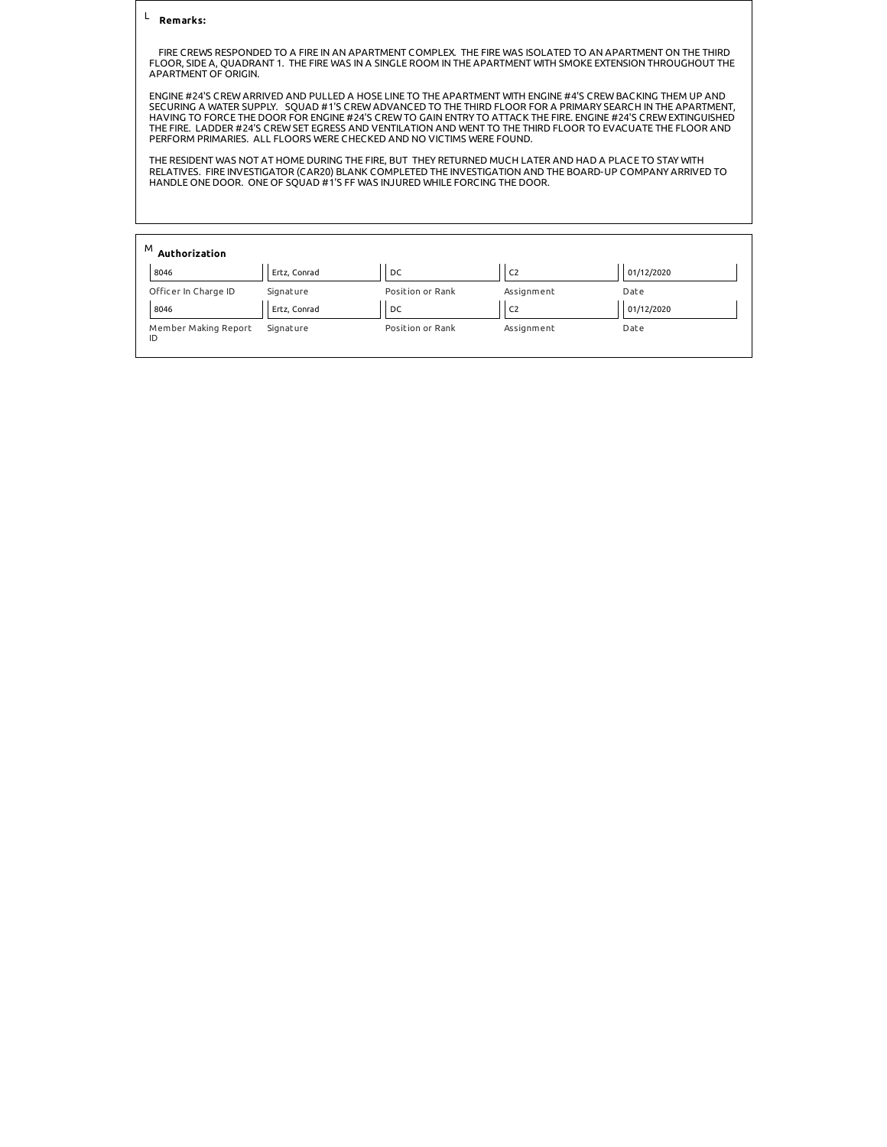## **Remarks:**  L

 FIRE CREWS RESPONDED TO A FIRE IN AN APARTMENT COMPLEX. THE FIRE WAS ISOLATED TO AN APARTMENT ON THE THIRD FLOOR, SIDE A, QUADRANT 1. THE FIRE WAS IN A SINGLE ROOM IN THE APARTMENT WITH SMOKE EXTENSION THROUGHOUT THE APARTMENT OF ORIGIN.

ENGINE #24'S CREW ARRIVED AND PULLED A HOSE LINE TO THE APARTMENT WITH ENGINE #4'S CREW BACKING THEM UP AND SECURING A WATER SUPPLY. SQUAD #1'S CREW ADVANCED TO THE THIRD FLOOR FOR A PRIMARY SEARCH IN THE APARTMENT, HAVING TO FORCE THE DOOR FOR ENGINE #24'S CREW TO GAIN ENTRY TO ATTACK THE FIRE. ENGINE #24'S CREW EXTINGUISHED<br>THE FIRE. LADDER #24'S CREW SET EGRESS AND VENTILATION AND WENT TO THE THIRD FLOOR TO EVACUATE THE FLOOR AND<br>

THE RESIDENT WAS NOT AT HOME DURING THE FIRE, BUT THEY RETURNED MUCH LATER AND HAD A PLACE TO STAY WITH RELATIVES. FIRE INVESTIGATOR (CAR20) BLANK COMPLETED THE INVESTIGATION AND THE BOARD-UP COMPANY ARRIVED TO HANDLE ONE DOOR. ONE OF SQUAD #1'S FF WAS INJURED WHILE FORCING THE DOOR.

| M<br>Authorization<br>8046 | Ertz, Conrad | DC               | C <sub>2</sub> | 01/12/2020 |
|----------------------------|--------------|------------------|----------------|------------|
| Officer In Charge ID       | Signature    | Position or Rank | Assignment     | Date       |
| 8046                       | Ertz, Conrad | DC               | IC2            | 01/12/2020 |
| Member Making Report<br>ID | Signature    | Position or Rank | Assignment     | Date       |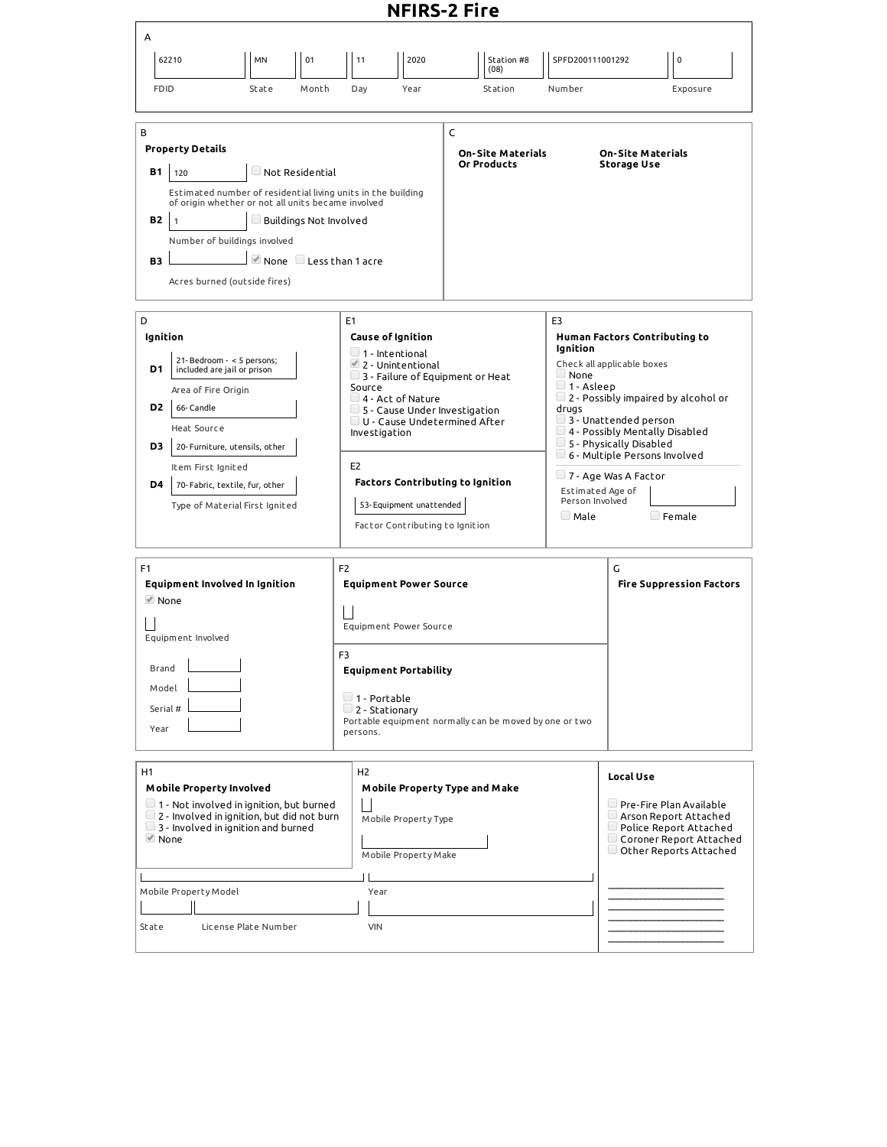## **NFIRS-2 Fire**

|                                                                                                                                                                                                                                                                                                                                                                                                                                                                                                        |                                                                                                     |       |                                                                                     | NFIRS-4 FILE                                                                                                                                                                                                                                                                                                                                                         |                                                        |                                                                                                                   |                                                                                                                                                                                                                                        |                                                             |
|--------------------------------------------------------------------------------------------------------------------------------------------------------------------------------------------------------------------------------------------------------------------------------------------------------------------------------------------------------------------------------------------------------------------------------------------------------------------------------------------------------|-----------------------------------------------------------------------------------------------------|-------|-------------------------------------------------------------------------------------|----------------------------------------------------------------------------------------------------------------------------------------------------------------------------------------------------------------------------------------------------------------------------------------------------------------------------------------------------------------------|--------------------------------------------------------|-------------------------------------------------------------------------------------------------------------------|----------------------------------------------------------------------------------------------------------------------------------------------------------------------------------------------------------------------------------------|-------------------------------------------------------------|
| A                                                                                                                                                                                                                                                                                                                                                                                                                                                                                                      |                                                                                                     |       |                                                                                     |                                                                                                                                                                                                                                                                                                                                                                      |                                                        |                                                                                                                   |                                                                                                                                                                                                                                        |                                                             |
| 62210                                                                                                                                                                                                                                                                                                                                                                                                                                                                                                  | <b>MN</b>                                                                                           | 01    | 11                                                                                  | 2020                                                                                                                                                                                                                                                                                                                                                                 | Station #8<br>(08)                                     | SPFD200111001292                                                                                                  |                                                                                                                                                                                                                                        | $\mathbf 0$                                                 |
| <b>FDID</b>                                                                                                                                                                                                                                                                                                                                                                                                                                                                                            | State                                                                                               | Month | Day                                                                                 | Year                                                                                                                                                                                                                                                                                                                                                                 | Station                                                | Number                                                                                                            |                                                                                                                                                                                                                                        | Exposure                                                    |
| C<br>B<br><b>Property Details</b><br><b>On-Site Materials</b><br><b>On-Site Materials</b><br>Or Products<br><b>Storage Use</b><br>$\Box$ Not Residential<br><b>B1</b><br>120<br>Estimated number of residential living units in the building<br>of origin whether or not all units became involved<br><b>B2</b><br>$\Box$ Buildings Not Involved<br>$\overline{1}$<br>Number of buildings involved<br>$\blacksquare$ None $\blacksquare$ Less than 1 acre<br><b>B3</b><br>Acres burned (outside fires) |                                                                                                     |       |                                                                                     |                                                                                                                                                                                                                                                                                                                                                                      |                                                        |                                                                                                                   |                                                                                                                                                                                                                                        |                                                             |
| D<br>Ignition<br>21-Bedroom - < 5 persons;<br>D1<br>included are jail or prison<br>Area of Fire Origin<br>D <sub>2</sub><br>66-Candle<br>Heat Source<br>D3<br>Item First Ignited<br>D4                                                                                                                                                                                                                                                                                                                 | 20- Furniture, utensils, other<br>70- Fabric, textile, fur, other<br>Type of Material First Ignited |       | E1<br>Source<br>E <sub>2</sub>                                                      | <b>Cause of Ignition</b><br>$\Box$ 1 - Intentional<br>$\triangleq$ 2 - Unintentional<br>$\Box$ 3 - Failure of Equipment or Heat<br>$\Box$ 4 - Act of Nature<br>$\Box$ 5 - Cause Under Investigation<br>$\Box$ U - Cause Undetermined After<br>Investigation<br><b>Factors Contributing to Ignition</b><br>53-Equipment unattended<br>Factor Contributing to Ignition |                                                        | E3<br>Ignition<br>$\Box$ None<br>$\Box$ 1 - Asleep<br>drugs<br>Estimated Age of<br>Person Involved<br>$\Box$ Male | Human Factors Contributing to<br>Check all applicable boxes<br>$\Box$ 3 - Unattended person<br>$\Box$ 4 - Possibly Mentally Disabled<br>5 - Physically Disabled<br>$\Box$ 6 - Multiple Persons Involved<br>$\Box$ 7 - Age Was A Factor | $\Box$ 2 - Possibly impaired by alcohol or<br>$\Box$ Female |
| F <sub>1</sub><br><b>Equipment Involved In Ignition</b><br><b>■</b> None<br>Equipment Involved<br>Brand<br>Model<br>Serial #<br>Year                                                                                                                                                                                                                                                                                                                                                                   |                                                                                                     |       | F <sub>2</sub><br>$\mathbf{I}$<br>F <sub>3</sub><br>$\Box$ 1 - Portable<br>persons. | <b>Equipment Power Source</b><br>Equipment Power Source<br><b>Equipment Portability</b><br>$\Box$ 2 - Stationary                                                                                                                                                                                                                                                     | Portable equipment normally can be moved by one or two |                                                                                                                   | G                                                                                                                                                                                                                                      | <b>Fire Suppression Factors</b>                             |
| H1<br>H <sub>2</sub><br><b>Mobile Property Involved</b><br>Mobile Property Type and Make<br>$\Box$ 1 - Not involved in ignition, but burned<br>$\Box$ 2 - Involved in ignition, but did not burn<br>Mobile Property Type<br>3 - Involved in ignition and burned<br>$\blacksquare$ None<br>Mobile Property Make<br>Mobile Property Model<br>Year<br>License Plate Number<br><b>VIN</b><br>State                                                                                                         |                                                                                                     |       |                                                                                     |                                                                                                                                                                                                                                                                                                                                                                      |                                                        | Local Use                                                                                                         | Pre-Fire Plan Available<br>Arson Report Attached<br>$\Box$ Police Report Attached<br>Coroner Report Attached<br>$\Box$ Other Reports Attached                                                                                          |                                                             |